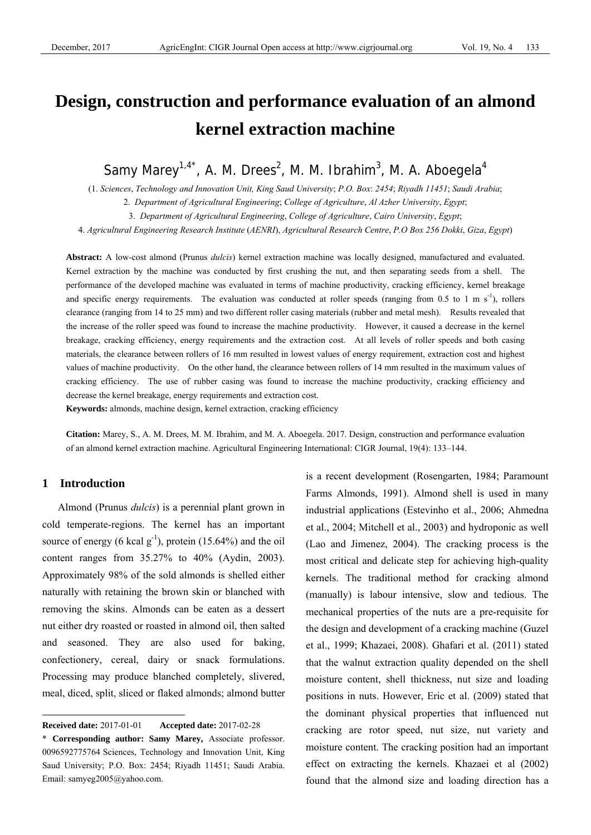# **Design, construction and performance evaluation of an almond kernel extraction machine**

Samy Marey<sup>1,4\*</sup>, A. M. Drees<sup>2</sup>, M. M. Ibrahim<sup>3</sup>, M. A. Aboegela<sup>4</sup>

(1. *Sciences*, *Technology and Innovation Unit, King Saud University*; *P.O. Box*: *2454*; *Riyadh 11451*; *Saudi Arabia*;

2. *Department of Agricultural Engineering*; *College of Agriculture*, *Al Azher University*, *Egypt*;

3. *Department of Agricultural Engineering*, *College of Agriculture*, *Cairo University*, *Egypt*;

4. *Agricultural Engineering Research Institute* (*AENRI*), *Agricultural Research Centre*, *P.O Box 256 Dokki*, *Giza*, *Egypt*)

**Abstract:** A low-cost almond (Prunus *dulcis*) kernel extraction machine was locally designed, manufactured and evaluated. Kernel extraction by the machine was conducted by first crushing the nut, and then separating seeds from a shell. The performance of the developed machine was evaluated in terms of machine productivity, cracking efficiency, kernel breakage and specific energy requirements. The evaluation was conducted at roller speeds (ranging from 0.5 to 1 m  $s^{-1}$ ), rollers clearance (ranging from 14 to 25 mm) and two different roller casing materials (rubber and metal mesh). Results revealed that the increase of the roller speed was found to increase the machine productivity. However, it caused a decrease in the kernel breakage, cracking efficiency, energy requirements and the extraction cost. At all levels of roller speeds and both casing materials, the clearance between rollers of 16 mm resulted in lowest values of energy requirement, extraction cost and highest values of machine productivity. On the other hand, the clearance between rollers of 14 mm resulted in the maximum values of cracking efficiency. The use of rubber casing was found to increase the machine productivity, cracking efficiency and decrease the kernel breakage, energy requirements and extraction cost.

**Keywords:** almonds, machine design, kernel extraction, cracking efficiency

**Citation:** Marey, S., A. M. Drees, M. M. Ibrahim, and M. A. Aboegela. 2017. Design, construction and performance evaluation of an almond kernel extraction machine. Agricultural Engineering International: CIGR Journal, 19(4): 133–144.

# **1 Introduction**

 $\overline{a}$ 

Almond (Prunus *dulcis*) is a perennial plant grown in cold temperate-regions. The kernel has an important source of energy (6 kcal  $g^{-1}$ ), protein (15.64%) and the oil content ranges from 35.27% to 40% (Aydin, 2003). Approximately 98% of the sold almonds is shelled either naturally with retaining the brown skin or blanched with removing the skins. Almonds can be eaten as a dessert nut either dry roasted or roasted in almond oil, then salted and seasoned. They are also used for baking, confectionery, cereal, dairy or snack formulations. Processing may produce blanched completely, slivered, meal, diced, split, sliced or flaked almonds; almond butter is a recent development (Rosengarten, 1984; Paramount Farms Almonds, 1991). Almond shell is used in many industrial applications (Estevinho et al., 2006; Ahmedna et al., 2004; Mitchell et al., 2003) and hydroponic as well (Lao and Jimenez, 2004). The cracking process is the most critical and delicate step for achieving high-quality kernels. The traditional method for cracking almond (manually) is labour intensive, slow and tedious. The mechanical properties of the nuts are a pre-requisite for the design and development of a cracking machine (Guzel et al., 1999; Khazaei, 2008). Ghafari et al. (2011) stated that the walnut extraction quality depended on the shell moisture content, shell thickness, nut size and loading positions in nuts. However, Eric et al. (2009) stated that the dominant physical properties that influenced nut cracking are rotor speed, nut size, nut variety and moisture content. The cracking position had an important effect on extracting the kernels. Khazaei et al (2002) found that the almond size and loading direction has a

**Received date:** 2017-01-01 **Accepted date:** 2017-02-28

<sup>\*</sup> **Corresponding author: Samy Marey,** Associate professor. 0096592775764 Sciences, Technology and Innovation Unit, King Saud University; P.O. Box: 2454; Riyadh 11451; Saudi Arabia. Email: samyeg2005@yahoo.com.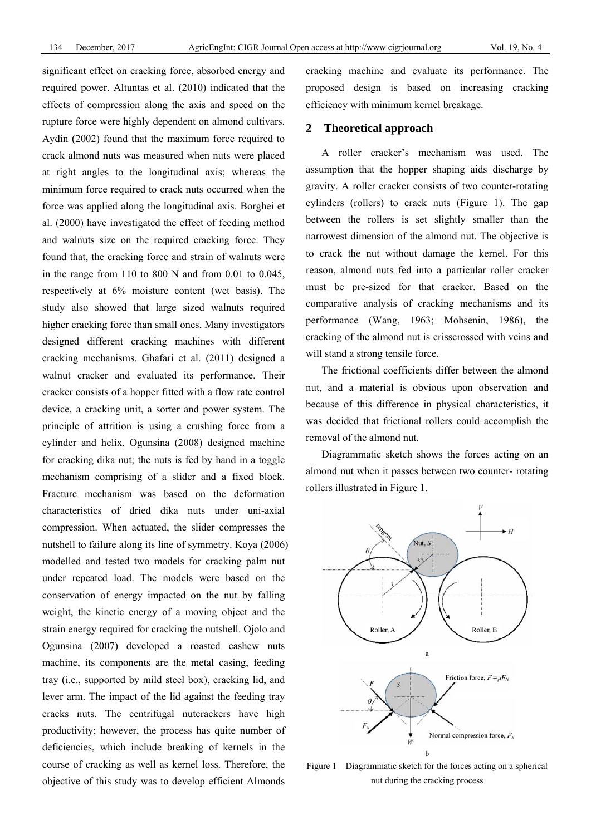significant effect on cracking force, absorbed energy and required power. Altuntas et al. (2010) indicated that the effects of compression along the axis and speed on the rupture force were highly dependent on almond cultivars. Aydin (2002) found that the maximum force required to crack almond nuts was measured when nuts were placed at right angles to the longitudinal axis; whereas the minimum force required to crack nuts occurred when the force was applied along the longitudinal axis. Borghei et al. (2000) have investigated the effect of feeding method and walnuts size on the required cracking force. They found that, the cracking force and strain of walnuts were in the range from 110 to 800 N and from 0.01 to 0.045, respectively at 6% moisture content (wet basis). The study also showed that large sized walnuts required higher cracking force than small ones. Many investigators designed different cracking machines with different cracking mechanisms. Ghafari et al. (2011) designed a walnut cracker and evaluated its performance. Their cracker consists of a hopper fitted with a flow rate control device, a cracking unit, a sorter and power system. The principle of attrition is using a crushing force from a cylinder and helix. Ogunsina (2008) designed machine for cracking dika nut; the nuts is fed by hand in a toggle mechanism comprising of a slider and a fixed block. Fracture mechanism was based on the deformation characteristics of dried dika nuts under uni-axial compression. When actuated, the slider compresses the nutshell to failure along its line of symmetry. Koya (2006) modelled and tested two models for cracking palm nut under repeated load. The models were based on the conservation of energy impacted on the nut by falling weight, the kinetic energy of a moving object and the strain energy required for cracking the nutshell. Ojolo and Ogunsina (2007) developed a roasted cashew nuts machine, its components are the metal casing, feeding tray (i.e., supported by mild steel box), cracking lid, and lever arm. The impact of the lid against the feeding tray cracks nuts. The centrifugal nutcrackers have high productivity; however, the process has quite number of deficiencies, which include breaking of kernels in the course of cracking as well as kernel loss. Therefore, the objective of this study was to develop efficient Almonds

cracking machine and evaluate its performance. The proposed design is based on increasing cracking efficiency with minimum kernel breakage.

# **2 Theoretical approach**

A roller cracker's mechanism was used. The assumption that the hopper shaping aids discharge by gravity. A roller cracker consists of two counter-rotating cylinders (rollers) to crack nuts (Figure 1). The gap between the rollers is set slightly smaller than the narrowest dimension of the almond nut. The objective is to crack the nut without damage the kernel. For this reason, almond nuts fed into a particular roller cracker must be pre-sized for that cracker. Based on the comparative analysis of cracking mechanisms and its performance (Wang, 1963; Mohsenin, 1986), the cracking of the almond nut is crisscrossed with veins and will stand a strong tensile force.

The frictional coefficients differ between the almond nut, and a material is obvious upon observation and because of this difference in physical characteristics, it was decided that frictional rollers could accomplish the removal of the almond nut.

Diagrammatic sketch shows the forces acting on an almond nut when it passes between two counter- rotating rollers illustrated in Figure 1.



Figure 1 Diagrammatic sketch for the forces acting on a spherical nut during the cracking process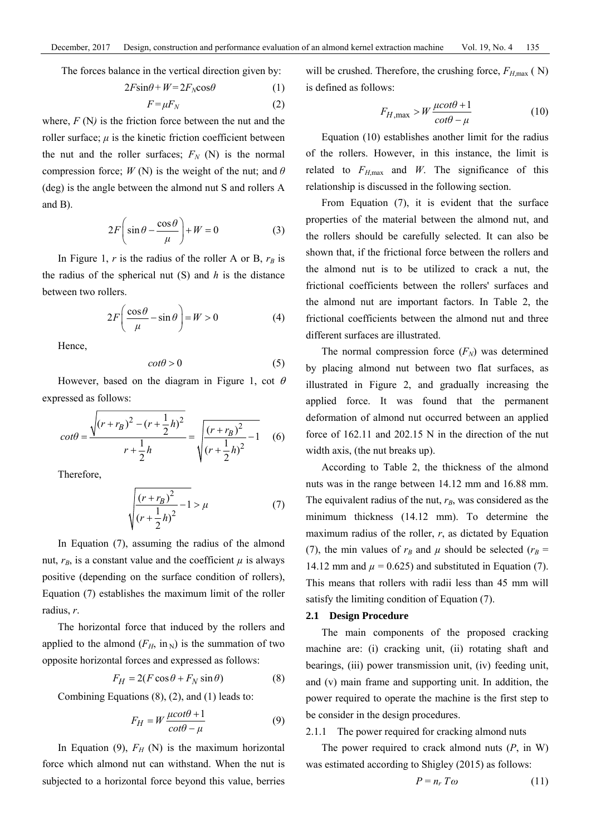The forces balance in the vertical direction given by:

$$
2F\sin\theta + W = 2F_N \cos\theta \tag{1}
$$

$$
F = \mu F_N \tag{2}
$$

where, *F* (N) is the friction force between the nut and the roller surface;  $\mu$  is the kinetic friction coefficient between the nut and the roller surfaces;  $F_N$  (N) is the normal compression force;  $W(N)$  is the weight of the nut; and  $\theta$ (deg) is the angle between the almond nut S and rollers A and B).

$$
2F\left(\sin\theta - \frac{\cos\theta}{\mu}\right) + W = 0\tag{3}
$$

In Figure 1,  $r$  is the radius of the roller A or B,  $r_B$  is the radius of the spherical nut (S) and *h* is the distance between two rollers.

$$
2F\left(\frac{\cos\theta}{\mu} - \sin\theta\right) = W > 0\tag{4}
$$

Hence,

$$
cot \theta > 0 \tag{5}
$$

However, based on the diagram in Figure 1, cot  $\theta$ expressed as follows:

$$
cot\theta = \frac{\sqrt{(r+r_B)^2 - (r+\frac{1}{2}h)^2}}{r+\frac{1}{2}h} = \sqrt{\frac{(r+r_B)^2}{(r+\frac{1}{2}h)^2} - 1}
$$
 (6)

Therefore,

$$
\sqrt{\frac{(r+r_B)^2}{(r+\frac{1}{2}h)^2}-1} > \mu
$$
 (7)

In Equation (7), assuming the radius of the almond nut,  $r_B$ , is a constant value and the coefficient  $\mu$  is always positive (depending on the surface condition of rollers), Equation (7) establishes the maximum limit of the roller radius, *r*.

The horizontal force that induced by the rollers and applied to the almond  $(F_H, \text{ in }_{\mathbb{N}})$  is the summation of two opposite horizontal forces and expressed as follows:

$$
F_H = 2(F\cos\theta + F_N\sin\theta) \tag{8}
$$

Combining Equations (8), (2), and (1) leads to:

$$
F_H = W \frac{\mu \cot \theta + 1}{\cot \theta - \mu} \tag{9}
$$

In Equation (9),  $F_H$  (N) is the maximum horizontal force which almond nut can withstand. When the nut is subjected to a horizontal force beyond this value, berries

will be crushed. Therefore, the crushing force,  $F_{H,\text{max}}$  ( N) is defined as follows:

$$
F_{H,\max} > W \frac{\mu \cot \theta + 1}{\cot \theta - \mu} \tag{10}
$$

Equation (10) establishes another limit for the radius of the rollers. However, in this instance, the limit is related to  $F_{H,\text{max}}$  and *W*. The significance of this relationship is discussed in the following section.

From Equation (7), it is evident that the surface properties of the material between the almond nut, and the rollers should be carefully selected. It can also be shown that, if the frictional force between the rollers and the almond nut is to be utilized to crack a nut, the frictional coefficients between the rollers' surfaces and the almond nut are important factors. In Table 2, the frictional coefficients between the almond nut and three different surfaces are illustrated.

The normal compression force  $(F_N)$  was determined by placing almond nut between two flat surfaces, as illustrated in Figure 2, and gradually increasing the applied force. It was found that the permanent deformation of almond nut occurred between an applied force of 162.11 and 202.15 N in the direction of the nut width axis, (the nut breaks up).

According to Table 2, the thickness of the almond nuts was in the range between 14.12 mm and 16.88 mm. The equivalent radius of the nut,  $r_B$ , was considered as the minimum thickness (14.12 mm). To determine the maximum radius of the roller, *r*, as dictated by Equation (7), the min values of  $r_B$  and  $\mu$  should be selected ( $r_B$  = 14.12 mm and  $\mu$  = 0.625) and substituted in Equation (7). This means that rollers with radii less than 45 mm will satisfy the limiting condition of Equation (7).

## **2.1 Design Procedure**

The main components of the proposed cracking machine are: (i) cracking unit, (ii) rotating shaft and bearings, (iii) power transmission unit, (iv) feeding unit, and (v) main frame and supporting unit. In addition, the power required to operate the machine is the first step to be consider in the design procedures.

#### 2.1.1 The power required for cracking almond nuts

The power required to crack almond nuts (*P*, in W) was estimated according to Shigley (2015) as follows:

$$
P = n_r \, T \omega \tag{11}
$$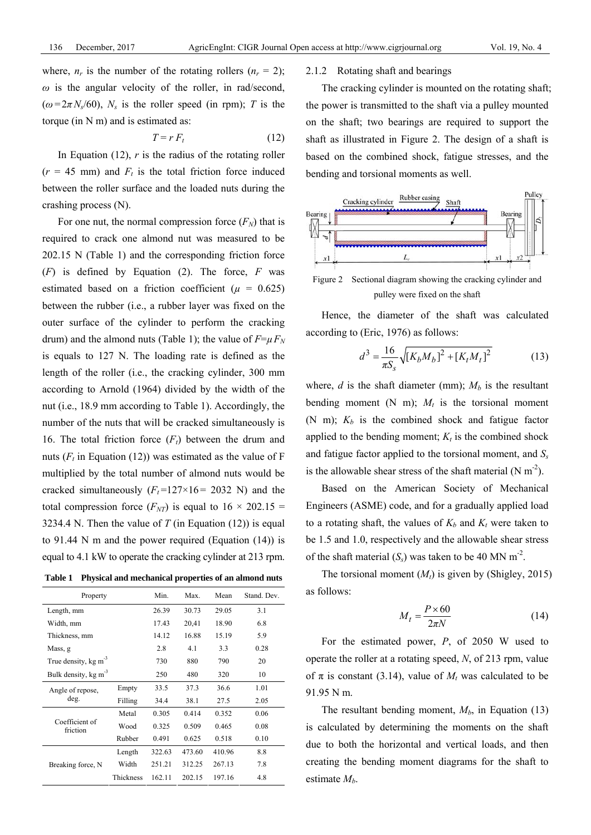where,  $n_r$  is the number of the rotating rollers  $(n_r = 2)$ ;  $\omega$  is the angular velocity of the roller, in rad/second,  $(\omega = 2\pi N_s/60)$ ,  $N_s$  is the roller speed (in rpm); *T* is the torque (in N m) and is estimated as:

$$
T = r F_t \tag{12}
$$

In Equation  $(12)$ , *r* is the radius of the rotating roller  $(r = 45$  mm) and  $F_t$  is the total friction force induced between the roller surface and the loaded nuts during the crashing process (N).

For one nut, the normal compression force  $(F_N)$  that is required to crack one almond nut was measured to be 202.15 N (Table 1) and the corresponding friction force (*F*) is defined by Equation (2). The force, *F* was estimated based on a friction coefficient ( $\mu$  = 0.625) between the rubber (i.e., a rubber layer was fixed on the outer surface of the cylinder to perform the cracking drum) and the almond nuts (Table 1); the value of  $F=\mu F_N$ is equals to 127 N. The loading rate is defined as the length of the roller (i.e., the cracking cylinder, 300 mm according to Arnold (1964) divided by the width of the nut (i.e., 18.9 mm according to Table 1). Accordingly, the number of the nuts that will be cracked simultaneously is 16. The total friction force  $(F_t)$  between the drum and nuts  $(F_t$  in Equation (12)) was estimated as the value of F multiplied by the total number of almond nuts would be cracked simultaneously  $(F_t=127\times16=2032 \text{ N})$  and the total compression force  $(F_{NT})$  is equal to  $16 \times 202.15 =$ 3234.4 N. Then the value of  $T$  (in Equation (12)) is equal to 91.44 N m and the power required (Equation (14)) is equal to 4.1 kW to operate the cracking cylinder at 213 rpm.

**Table 1 Physical and mechanical properties of an almond nuts** 

| Property                            |           | Min.   | Max.   | Mean   | Stand. Dev. |
|-------------------------------------|-----------|--------|--------|--------|-------------|
| Length, mm                          |           | 26.39  | 30.73  | 29.05  | 3.1         |
| Width, mm                           |           | 17.43  | 20,41  | 18.90  | 6.8         |
| Thickness, mm                       |           | 14.12  | 16.88  | 15.19  | 5.9         |
| Mass, g                             |           | 2.8    | 4.1    | 3.3    | 0.28        |
| True density, $kg \, \text{m}^{-3}$ |           | 730    | 880    | 790    | 20          |
| Bulk density, $kg \, \text{m}^{-3}$ |           | 250    | 480    | 320    | 10          |
| Angle of repose.<br>deg.            | Empty     | 33.5   | 37.3   | 36.6   | 1.01        |
|                                     | Filling   | 34.4   | 38.1   | 27.5   | 2.05        |
| Coefficient of<br>friction          | Metal     | 0.305  | 0.414  | 0.352  | 0.06        |
|                                     | Wood      | 0.325  | 0.509  | 0.465  | 0.08        |
|                                     | Rubber    | 0.491  | 0.625  | 0.518  | 0.10        |
| Breaking force, N                   | Length    | 322.63 | 473.60 | 410.96 | 8.8         |
|                                     | Width     | 251.21 | 312.25 | 267.13 | 7.8         |
|                                     | Thickness | 162.11 | 202.15 | 197.16 | 4.8         |

#### 2.1.2 Rotating shaft and bearings

The cracking cylinder is mounted on the rotating shaft; the power is transmitted to the shaft via a pulley mounted on the shaft; two bearings are required to support the shaft as illustrated in Figure 2. The design of a shaft is based on the combined shock, fatigue stresses, and the bending and torsional moments as well.



pulley were fixed on the shaft

Hence, the diameter of the shaft was calculated according to (Eric, 1976) as follows:

$$
d^{3} = \frac{16}{\pi S_{s}} \sqrt{\left[K_{b} M_{b}\right]^{2} + \left[K_{t} M_{t}\right]^{2}}
$$
(13)

where,  $d$  is the shaft diameter (mm);  $M<sub>b</sub>$  is the resultant bending moment  $(N \, m)$ ;  $M_t$  is the torsional moment (N m);  $K_b$  is the combined shock and fatigue factor applied to the bending moment;  $K_t$  is the combined shock and fatigue factor applied to the torsional moment, and  $S_s$ is the allowable shear stress of the shaft material  $(N \text{ m}^{-2})$ .

Based on the American Society of Mechanical Engineers (ASME) code, and for a gradually applied load to a rotating shaft, the values of  $K_b$  and  $K_t$  were taken to be 1.5 and 1.0, respectively and the allowable shear stress of the shaft material  $(S_s)$  was taken to be 40 MN m<sup>-2</sup>.

The torsional moment  $(M_t)$  is given by (Shigley, 2015) as follows:

$$
M_t = \frac{P \times 60}{2\pi N} \tag{14}
$$

For the estimated power, *P*, of 2050 W used to operate the roller at a rotating speed, *N*, of 213 rpm, value of  $\pi$  is constant (3.14), value of  $M_t$  was calculated to be 91.95 N m.

The resultant bending moment,  $M_b$ , in Equation (13) is calculated by determining the moments on the shaft due to both the horizontal and vertical loads, and then creating the bending moment diagrams for the shaft to estimate  $M_h$ .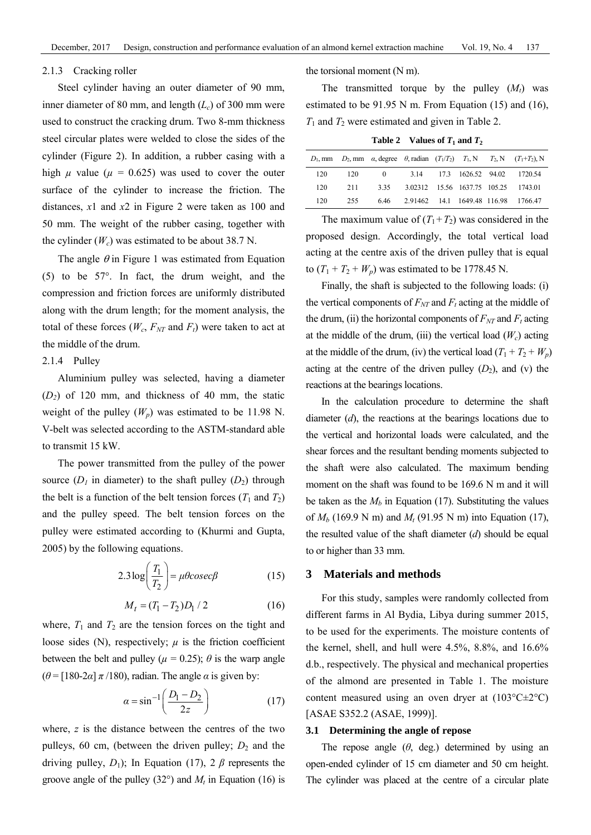#### 2.1.3 Cracking roller

Steel cylinder having an outer diameter of 90 mm, inner diameter of 80 mm, and length  $(L_c)$  of 300 mm were used to construct the cracking drum. Two 8-mm thickness steel circular plates were welded to close the sides of the cylinder (Figure 2). In addition, a rubber casing with a high  $\mu$  value ( $\mu$  = 0.625) was used to cover the outer surface of the cylinder to increase the friction. The distances, *x*1 and *x*2 in Figure 2 were taken as 100 and 50 mm. The weight of the rubber casing, together with the cylinder  $(W_c)$  was estimated to be about 38.7 N.

The angle  $\theta$  in Figure 1 was estimated from Equation (5) to be 57°. In fact, the drum weight, and the compression and friction forces are uniformly distributed along with the drum length; for the moment analysis, the total of these forces  $(W_c, F_{NT}$  and  $F_t$ ) were taken to act at the middle of the drum.

# 2.1.4 Pulley

Aluminium pulley was selected, having a diameter (*D2*) of 120 mm, and thickness of 40 mm, the static weight of the pulley  $(W_p)$  was estimated to be 11.98 N. V-belt was selected according to the ASTM-standard able to transmit 15 kW.

The power transmitted from the pulley of the power source  $(D_1$  in diameter) to the shaft pulley  $(D_2)$  through the belt is a function of the belt tension forces  $(T_1 \text{ and } T_2)$ and the pulley speed. The belt tension forces on the pulley were estimated according to (Khurmi and Gupta, 2005) by the following equations.

$$
2.3 \log \left( \frac{T_1}{T_2} \right) = \mu \theta \csc \beta \tag{15}
$$

$$
M_t = (T_1 - T_2)D_1 / 2 \tag{16}
$$

where,  $T_1$  and  $T_2$  are the tension forces on the tight and loose sides (N), respectively;  $\mu$  is the friction coefficient between the belt and pulley ( $\mu$  = 0.25);  $\theta$  is the warp angle  $(\theta = [180-2\alpha] \pi/180)$ , radian. The angle  $\alpha$  is given by:

$$
\alpha = \sin^{-1}\left(\frac{D_1 - D_2}{2z}\right) \tag{17}
$$

where, *z* is the distance between the centres of the two pulleys, 60 cm, (between the driven pulley;  $D_2$  and the driving pulley,  $D_1$ ); In Equation (17), 2  $\beta$  represents the groove angle of the pulley  $(32^{\circ})$  and  $M_t$  in Equation (16) is the torsional moment (N m).

The transmitted torque by the pulley  $(M_t)$  was estimated to be 91.95 N m. From Equation (15) and (16),  $T_1$  and  $T_2$  were estimated and given in Table 2.

**Table 2** Values of  $T_1$  and  $T_2$ 

|     |     |       |                                   |  | $D_1$ , mm $D_2$ , mm $\alpha$ , degree $\theta$ , radian $(T_1/T_2)$ $T_1$ , N $T_2$ , N $(T_1+T_2)$ , N |
|-----|-----|-------|-----------------------------------|--|-----------------------------------------------------------------------------------------------------------|
| 120 | 120 |       | 0 3.14 17.3 1626.52 94.02 1720.54 |  |                                                                                                           |
| 120 | 211 | 3.35  |                                   |  | 3.02312 15.56 1637.75 105.25 1743.01                                                                      |
| 120 | 255 | 646 — |                                   |  | 2.91462 14.1 1649.48 116.98 1766.47                                                                       |

The maximum value of  $(T_1 + T_2)$  was considered in the proposed design. Accordingly, the total vertical load acting at the centre axis of the driven pulley that is equal to  $(T_1 + T_2 + W_p)$  was estimated to be 1778.45 N.

Finally, the shaft is subjected to the following loads: (i) the vertical components of  $F_{NT}$  and  $F_t$  acting at the middle of the drum, (ii) the horizontal components of  $F_{NT}$  and  $F_t$  acting at the middle of the drum, (iii) the vertical load  $(W_c)$  acting at the middle of the drum, (iv) the vertical load  $(T_1 + T_2 + W_p)$ acting at the centre of the driven pulley  $(D_2)$ , and (v) the reactions at the bearings locations.

In the calculation procedure to determine the shaft diameter (*d*), the reactions at the bearings locations due to the vertical and horizontal loads were calculated, and the shear forces and the resultant bending moments subjected to the shaft were also calculated. The maximum bending moment on the shaft was found to be 169.6 N m and it will be taken as the  $M_b$  in Equation (17). Substituting the values of  $M_b$  (169.9 N m) and  $M_t$  (91.95 N m) into Equation (17), the resulted value of the shaft diameter (*d*) should be equal to or higher than 33 mm.

#### **3 Materials and methods**

For this study, samples were randomly collected from different farms in Al Bydia, Libya during summer 2015, to be used for the experiments. The moisture contents of the kernel, shell, and hull were 4.5%, 8.8%, and 16.6% d.b., respectively. The physical and mechanical properties of the almond are presented in Table 1. The moisture content measured using an oven dryer at  $(103^{\circ}C \pm 2^{\circ}C)$ [ASAE S352.2 (ASAE, 1999)].

#### **3.1 Determining the angle of repose**

The repose angle  $(\theta, \text{ deg.})$  determined by using an open-ended cylinder of 15 cm diameter and 50 cm height. The cylinder was placed at the centre of a circular plate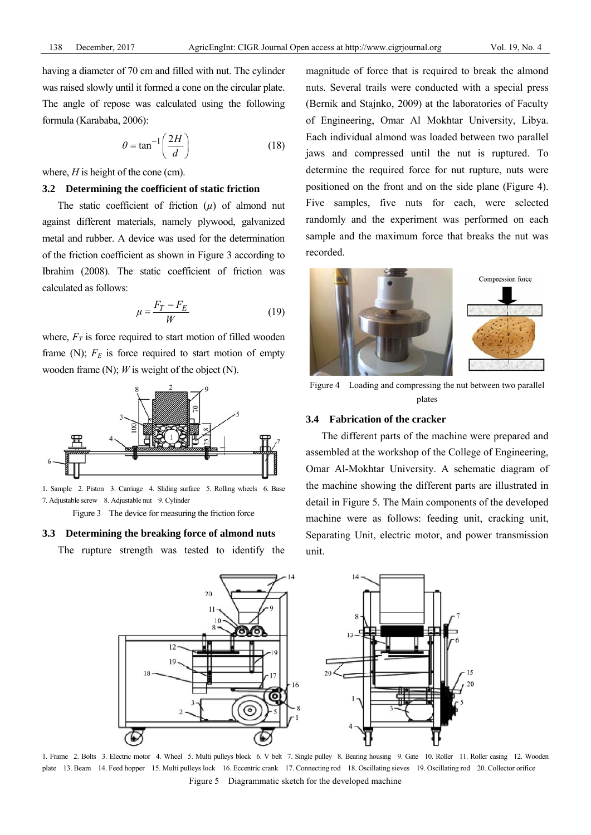having a diameter of 70 cm and filled with nut. The cylinder was raised slowly until it formed a cone on the circular plate. The angle of repose was calculated using the following formula (Karababa, 2006):

$$
\theta = \tan^{-1}\left(\frac{2H}{d}\right) \tag{18}
$$

where, *H* is height of the cone (cm).

## **3.2 Determining the coefficient of static friction**

The static coefficient of friction (*µ*) of almond nut against different materials, namely plywood, galvanized metal and rubber. A device was used for the determination of the friction coefficient as shown in Figure 3 according to Ibrahim (2008). The static coefficient of friction was calculated as follows:

$$
\mu = \frac{F_T - F_E}{W} \tag{19}
$$

where,  $F_T$  is force required to start motion of filled wooden frame (N);  $F_E$  is force required to start motion of empty wooden frame (N); *W* is weight of the object (N).



1. Sample 2. Piston 3. Carriage 4. Sliding surface 5. Rolling wheels 6. Base 7. Adjustable screw 8. Adjustable nut 9. Cylinder

Figure 3 The device for measuring the friction force

#### **3.3 Determining the breaking force of almond nuts**

The rupture strength was tested to identify the

magnitude of force that is required to break the almond nuts. Several trails were conducted with a special press (Bernik and Stajnko, 2009) at the laboratories of Faculty of Engineering, Omar Al Mokhtar University, Libya. Each individual almond was loaded between two parallel jaws and compressed until the nut is ruptured. To determine the required force for nut rupture, nuts were positioned on the front and on the side plane (Figure 4). Five samples, five nuts for each, were selected randomly and the experiment was performed on each sample and the maximum force that breaks the nut was recorded.



Figure 4 Loading and compressing the nut between two parallel plates

## **3.4 Fabrication of the cracker**

The different parts of the machine were prepared and assembled at the workshop of the College of Engineering, Omar Al-Mokhtar University. A schematic diagram of the machine showing the different parts are illustrated in detail in Figure 5. The Main components of the developed machine were as follows: feeding unit, cracking unit, Separating Unit, electric motor, and power transmission unit.



1. Frame 2. Bolts 3. Electric motor 4. Wheel 5. Multi pulleys block 6. V belt 7. Single pulley 8. Bearing housing 9. Gate 10. Roller 11. Roller casing 12. Wooden plate 13. Beam 14. Feed hopper 15. Multi pulleys lock 16. Eccentric crank 17. Connecting rod 18. Oscillating sieves 19. Oscillating rod 20. Collector orifice Figure 5 Diagrammatic sketch for the developed machine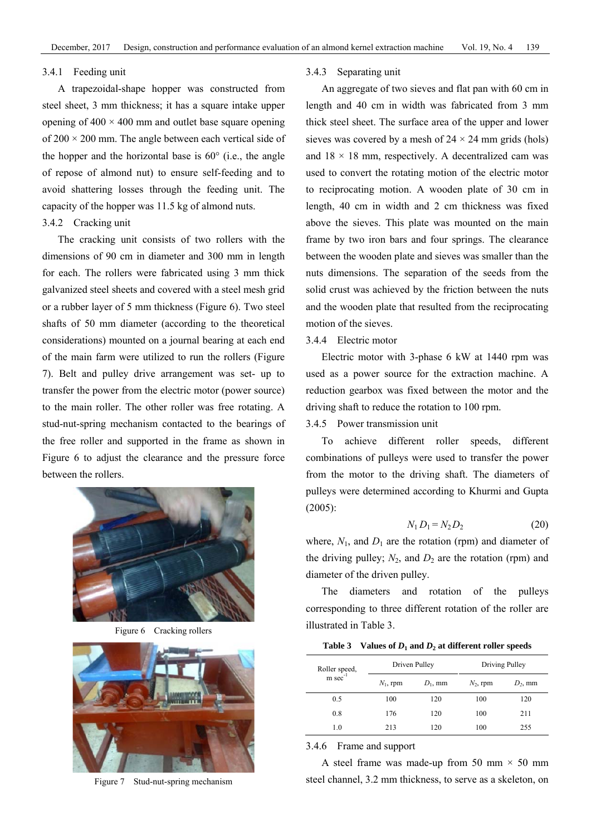#### 3.4.1 Feeding unit

A trapezoidal-shape hopper was constructed from steel sheet, 3 mm thickness; it has a square intake upper opening of  $400 \times 400$  mm and outlet base square opening of  $200 \times 200$  mm. The angle between each vertical side of the hopper and the horizontal base is 60° (i.e., the angle of repose of almond nut) to ensure self-feeding and to avoid shattering losses through the feeding unit. The capacity of the hopper was 11.5 kg of almond nuts. 3.4.2 Cracking unit

The cracking unit consists of two rollers with the dimensions of 90 cm in diameter and 300 mm in length for each. The rollers were fabricated using 3 mm thick galvanized steel sheets and covered with a steel mesh grid or a rubber layer of 5 mm thickness (Figure 6). Two steel shafts of 50 mm diameter (according to the theoretical considerations) mounted on a journal bearing at each end of the main farm were utilized to run the rollers (Figure 7). Belt and pulley drive arrangement was set- up to transfer the power from the electric motor (power source) to the main roller. The other roller was free rotating. A stud-nut-spring mechanism contacted to the bearings of the free roller and supported in the frame as shown in Figure 6 to adjust the clearance and the pressure force between the rollers.



Figure 6 Cracking rollers



Figure 7 Stud-nut-spring mechanism

#### 3.4.3 Separating unit

An aggregate of two sieves and flat pan with 60 cm in length and 40 cm in width was fabricated from 3 mm thick steel sheet. The surface area of the upper and lower sieves was covered by a mesh of  $24 \times 24$  mm grids (hols) and  $18 \times 18$  mm, respectively. A decentralized cam was used to convert the rotating motion of the electric motor to reciprocating motion. A wooden plate of 30 cm in length, 40 cm in width and 2 cm thickness was fixed above the sieves. This plate was mounted on the main frame by two iron bars and four springs. The clearance between the wooden plate and sieves was smaller than the nuts dimensions. The separation of the seeds from the solid crust was achieved by the friction between the nuts and the wooden plate that resulted from the reciprocating motion of the sieves.

# 3.4.4 Electric motor

Electric motor with 3-phase 6 kW at 1440 rpm was used as a power source for the extraction machine. A reduction gearbox was fixed between the motor and the driving shaft to reduce the rotation to 100 rpm.

# 3.4.5 Power transmission unit

To achieve different roller speeds, different combinations of pulleys were used to transfer the power from the motor to the driving shaft. The diameters of pulleys were determined according to Khurmi and Gupta (2005):

$$
N_1 D_1 = N_2 D_2 \tag{20}
$$

where,  $N_1$ , and  $D_1$  are the rotation (rpm) and diameter of the driving pulley;  $N_2$ , and  $D_2$  are the rotation (rpm) and diameter of the driven pulley.

The diameters and rotation of the pulleys corresponding to three different rotation of the roller are illustrated in Table 3.

|  | Table 3 Values of $D_1$ and $D_2$ at different roller speeds |  |  |
|--|--------------------------------------------------------------|--|--|
|--|--------------------------------------------------------------|--|--|

| Roller speed,<br>$m \sec^{-1}$ | Driven Pulley |            | Driving Pulley |            |  |
|--------------------------------|---------------|------------|----------------|------------|--|
|                                | $N_1$ , rpm   | $D_1$ , mm | $N_2$ , rpm    | $D_2$ , mm |  |
| 0.5                            | 100           | 120        | 100            | 120        |  |
| 0.8                            | 176           | 120        | 100            | 211        |  |
| 1.0                            | 213           | 120        | 100            | 255        |  |

3.4.6 Frame and support

A steel frame was made-up from 50 mm  $\times$  50 mm steel channel, 3.2 mm thickness, to serve as a skeleton, on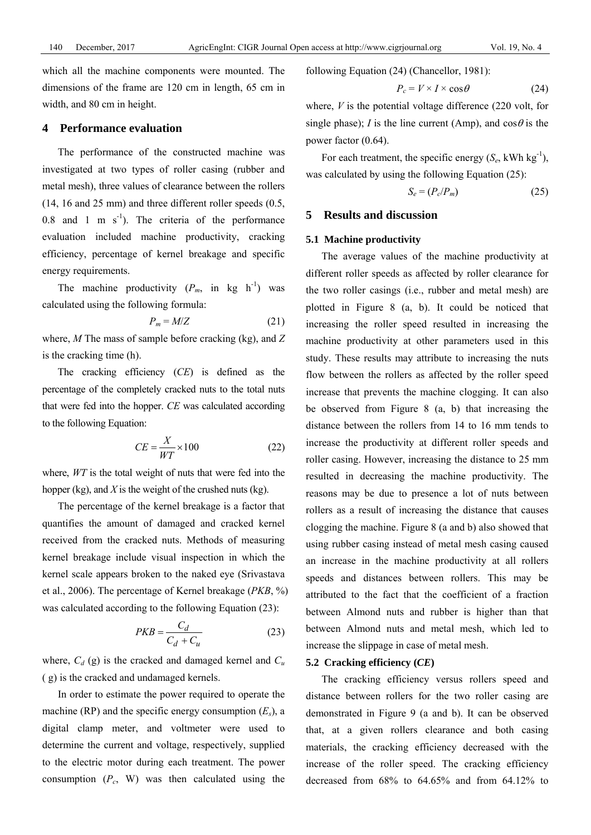which all the machine components were mounted. The dimensions of the frame are 120 cm in length, 65 cm in width, and 80 cm in height.

#### **4 Performance evaluation**

The performance of the constructed machine was investigated at two types of roller casing (rubber and metal mesh), three values of clearance between the rollers (14, 16 and 25 mm) and three different roller speeds (0.5, 0.8 and 1 m  $s^{-1}$ ). The criteria of the performance evaluation included machine productivity, cracking efficiency, percentage of kernel breakage and specific energy requirements.

The machine productivity  $(P_m, \text{ in } \text{kg } \text{h}^{-1})$  was calculated using the following formula:

$$
P_m = M/Z \tag{21}
$$

where, *M* The mass of sample before cracking (kg), and *Z* is the cracking time (h).

The cracking efficiency (*CE*) is defined as the percentage of the completely cracked nuts to the total nuts that were fed into the hopper. *CE* was calculated according to the following Equation:

$$
CE = \frac{X}{WT} \times 100\tag{22}
$$

where, *WT* is the total weight of nuts that were fed into the hopper (kg), and *X* is the weight of the crushed nuts (kg).

The percentage of the kernel breakage is a factor that quantifies the amount of damaged and cracked kernel received from the cracked nuts. Methods of measuring kernel breakage include visual inspection in which the kernel scale appears broken to the naked eye (Srivastava et al., 2006). The percentage of Kernel breakage (*PKB*, %) was calculated according to the following Equation (23):

$$
PKB = \frac{C_d}{C_d + C_u} \tag{23}
$$

where,  $C_d$  (g) is the cracked and damaged kernel and  $C_u$ ( g) is the cracked and undamaged kernels.

In order to estimate the power required to operate the machine (RP) and the specific energy consumption  $(E_s)$ , a digital clamp meter, and voltmeter were used to determine the current and voltage, respectively, supplied to the electric motor during each treatment. The power consumption  $(P_c, W)$  was then calculated using the following Equation (24) (Chancellor, 1981):

$$
P_c = V \times I \times \cos \theta \tag{24}
$$

where, *V* is the potential voltage difference (220 volt, for single phase); *I* is the line current (Amp), and  $\cos\theta$  is the power factor (0.64).

For each treatment, the specific energy  $(S_e, \text{kWh kg}^{-1})$ , was calculated by using the following Equation (25):

$$
S_e = (P_c/P_m) \tag{25}
$$

## **5 Results and discussion**

## **5.1 Machine productivity**

The average values of the machine productivity at different roller speeds as affected by roller clearance for the two roller casings (i.e., rubber and metal mesh) are plotted in Figure 8 (a, b). It could be noticed that increasing the roller speed resulted in increasing the machine productivity at other parameters used in this study. These results may attribute to increasing the nuts flow between the rollers as affected by the roller speed increase that prevents the machine clogging. It can also be observed from Figure 8 (a, b) that increasing the distance between the rollers from 14 to 16 mm tends to increase the productivity at different roller speeds and roller casing. However, increasing the distance to 25 mm resulted in decreasing the machine productivity. The reasons may be due to presence a lot of nuts between rollers as a result of increasing the distance that causes clogging the machine. Figure 8 (a and b) also showed that using rubber casing instead of metal mesh casing caused an increase in the machine productivity at all rollers speeds and distances between rollers. This may be attributed to the fact that the coefficient of a fraction between Almond nuts and rubber is higher than that between Almond nuts and metal mesh, which led to increase the slippage in case of metal mesh.

# **5.2 Cracking efficiency (***CE***)**

The cracking efficiency versus rollers speed and distance between rollers for the two roller casing are demonstrated in Figure 9 (a and b). It can be observed that, at a given rollers clearance and both casing materials, the cracking efficiency decreased with the increase of the roller speed. The cracking efficiency decreased from 68% to 64.65% and from 64.12% to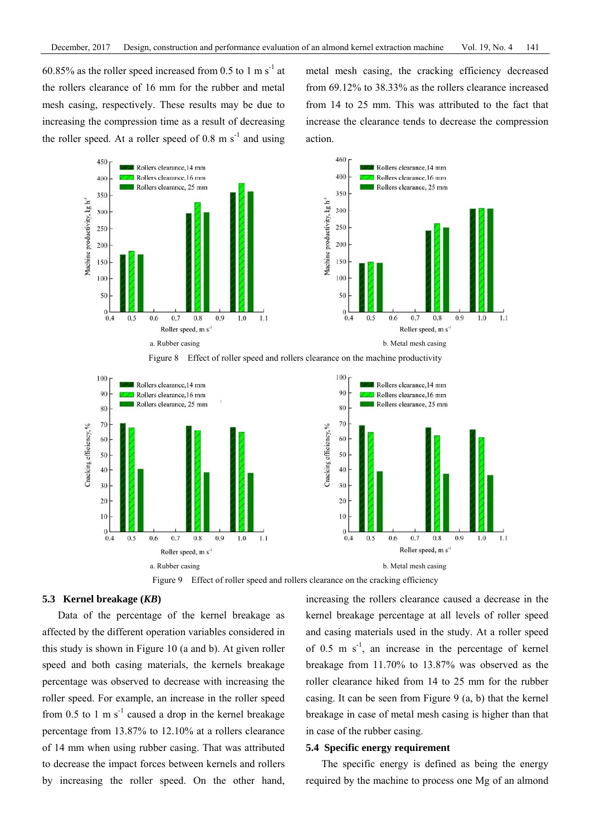60.85% as the roller speed increased from 0.5 to 1 m s<sup>-1</sup> at the rollers clearance of 16 mm for the rubber and metal mesh casing, respectively. These results may be due to increasing the compression time as a result of decreasing the roller speed. At a roller speed of  $0.8 \text{ m s}^{-1}$  and using metal mesh casing, the cracking efficiency decreased from 69.12% to 38.33% as the rollers clearance increased from 14 to 25 mm. This was attributed to the fact that increase the clearance tends to decrease the compression action.





Figure 8 Effect of roller speed and rollers clearance on the machine productivity



Figure 9 Effect of roller speed and rollers clearance on the cracking efficiency

## **5.3 Kernel breakage (***KB***)**

Data of the percentage of the kernel breakage as affected by the different operation variables considered in this study is shown in Figure 10 (a and b). At given roller speed and both casing materials, the kernels breakage percentage was observed to decrease with increasing the roller speed. For example, an increase in the roller speed from 0.5 to 1 m  $s^{-1}$  caused a drop in the kernel breakage percentage from 13.87% to 12.10% at a rollers clearance of 14 mm when using rubber casing. That was attributed to decrease the impact forces between kernels and rollers by increasing the roller speed. On the other hand, increasing the rollers clearance caused a decrease in the kernel breakage percentage at all levels of roller speed and casing materials used in the study. At a roller speed of 0.5 m  $s^{-1}$ , an increase in the percentage of kernel breakage from 11.70% to 13.87% was observed as the roller clearance hiked from 14 to 25 mm for the rubber casing. It can be seen from Figure 9 (a, b) that the kernel breakage in case of metal mesh casing is higher than that in case of the rubber casing.

#### **5.4 Specific energy requirement**

The specific energy is defined as being the energy required by the machine to process one Mg of an almond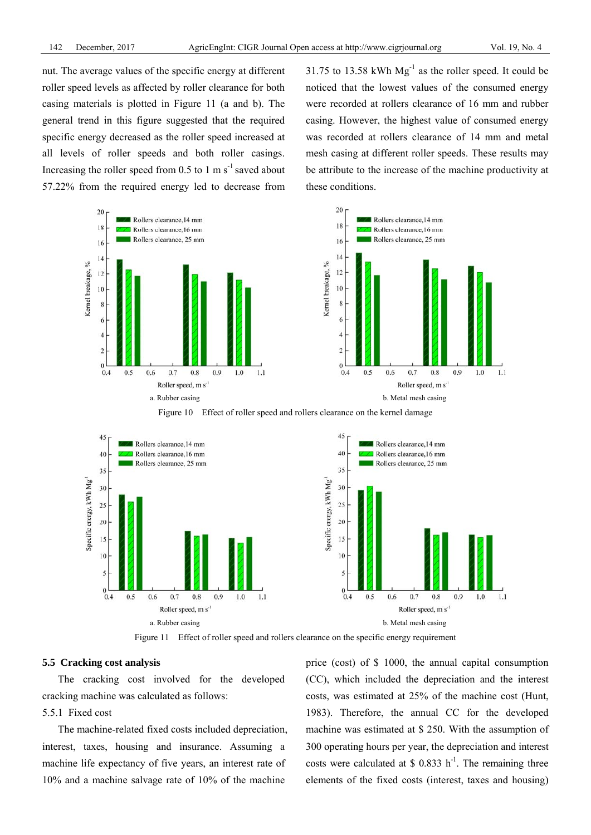nut. The average values of the specific energy at different roller speed levels as affected by roller clearance for both casing materials is plotted in Figure 11 (a and b). The general trend in this figure suggested that the required specific energy decreased as the roller speed increased at all levels of roller speeds and both roller casings. Increasing the roller speed from  $0.5$  to 1 m s<sup>-1</sup> saved about 57.22% from the required energy led to decrease from 31.75 to 13.58 kWh  $Mg^{-1}$  as the roller speed. It could be noticed that the lowest values of the consumed energy were recorded at rollers clearance of 16 mm and rubber casing. However, the highest value of consumed energy was recorded at rollers clearance of 14 mm and metal mesh casing at different roller speeds. These results may be attribute to the increase of the machine productivity at these conditions.



Figure 10 Effect of roller speed and rollers clearance on the kernel damage



Figure 11 Effect of roller speed and rollers clearance on the specific energy requirement

# **5.5 Cracking cost analysis**

The cracking cost involved for the developed cracking machine was calculated as follows:

# 5.5.1 Fixed cost

The machine-related fixed costs included depreciation, interest, taxes, housing and insurance. Assuming a machine life expectancy of five years, an interest rate of 10% and a machine salvage rate of 10% of the machine

price (cost) of \$ 1000, the annual capital consumption (CC), which included the depreciation and the interest costs, was estimated at 25% of the machine cost (Hunt, 1983). Therefore, the annual CC for the developed machine was estimated at \$ 250. With the assumption of 300 operating hours per year, the depreciation and interest costs were calculated at \$ 0.833 h<sup>-1</sup>. The remaining three elements of the fixed costs (interest, taxes and housing)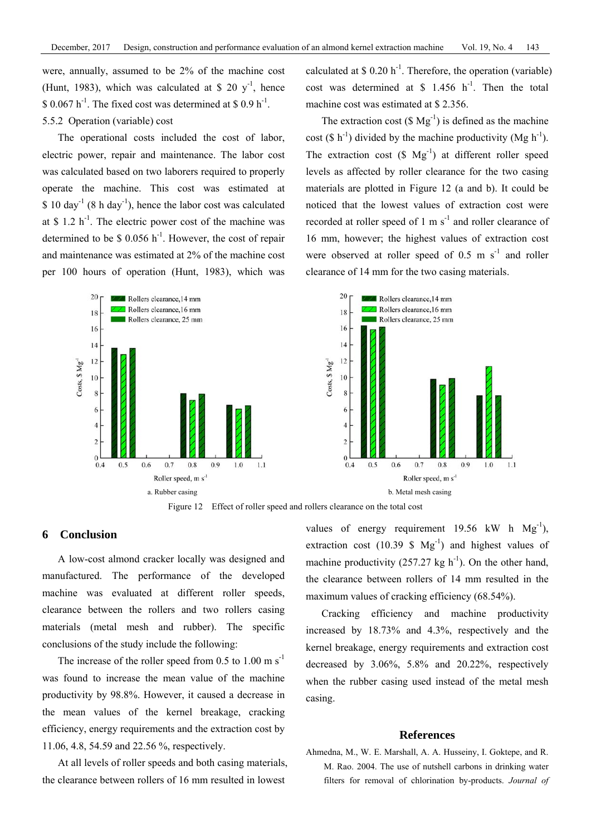were, annually, assumed to be 2% of the machine cost (Hunt, 1983), which was calculated at \$ 20  $v^{-1}$ , hence  $$ 0.067 h^{-1}$ . The fixed cost was determined at  $$ 0.9 h^{-1}$ . 5.5.2 Operation (variable) cost

The operational costs included the cost of labor, electric power, repair and maintenance. The labor cost was calculated based on two laborers required to properly operate the machine. This cost was estimated at  $$ 10 \text{ day}^{-1}$  (8 h day<sup>-1</sup>), hence the labor cost was calculated at  $$ 1.2 h<sup>-1</sup>$ . The electric power cost of the machine was determined to be  $\text{\$}$  0.056 h<sup>-1</sup>. However, the cost of repair and maintenance was estimated at 2% of the machine cost per 100 hours of operation (Hunt, 1983), which was

> 20 Rollers clearance, 14 mm Rollers clearance, 16 mm 18 Rollers clearance, 25 mm 16  $14$  $12$  $20$  Sts.  $S$  Mg<sup>-1</sup>  $10$ 6  $\overline{2}$  $0.5$  $0.6$ 0.7 0.9  $1.0$ 0.4  $0.8$  $1.1$ Roller speed, m s<sup>-1</sup>

calculated at  $$ 0.20 h<sup>-1</sup>$ . Therefore, the operation (variable) cost was determined at  $$ 1.456 h<sup>-1</sup>$ . Then the total machine cost was estimated at \$ 2.356.

The extraction cost  $(\text{S Mg}^{-1})$  is defined as the machine cost (\$  $h^{-1}$ ) divided by the machine productivity (Mg  $h^{-1}$ ). The extraction cost  $(S \text{ Mg}^{-1})$  at different roller speed levels as affected by roller clearance for the two casing materials are plotted in Figure 12 (a and b). It could be noticed that the lowest values of extraction cost were recorded at roller speed of 1 m  $s^{-1}$  and roller clearance of 16 mm, however; the highest values of extraction cost were observed at roller speed of  $0.5 \text{ m s}^{-1}$  and roller clearance of 14 mm for the two casing materials.





# **6 Conclusion**

A low-cost almond cracker locally was designed and manufactured. The performance of the developed machine was evaluated at different roller speeds, clearance between the rollers and two rollers casing materials (metal mesh and rubber). The specific conclusions of the study include the following:

The increase of the roller speed from 0.5 to 1.00 m  $s^{-1}$ was found to increase the mean value of the machine productivity by 98.8%. However, it caused a decrease in the mean values of the kernel breakage, cracking efficiency, energy requirements and the extraction cost by 11.06, 4.8, 54.59 and 22.56 %, respectively.

At all levels of roller speeds and both casing materials, the clearance between rollers of 16 mm resulted in lowest

values of energy requirement 19.56 kW h  $Mg^{-1}$ ), extraction cost (10.39 \$  $Mg^{-1}$ ) and highest values of machine productivity  $(257.27 \text{ kg h}^{-1})$ . On the other hand, the clearance between rollers of 14 mm resulted in the maximum values of cracking efficiency (68.54%).

Cracking efficiency and machine productivity increased by 18.73% and 4.3%, respectively and the kernel breakage, energy requirements and extraction cost decreased by 3.06%, 5.8% and 20.22%, respectively when the rubber casing used instead of the metal mesh casing.

## **References**

Ahmedna, M., W. E. Marshall, A. A. Husseiny, I. Goktepe, and R. M. Rao. 2004. The use of nutshell carbons in drinking water filters for removal of chlorination by-products. *Journal of*